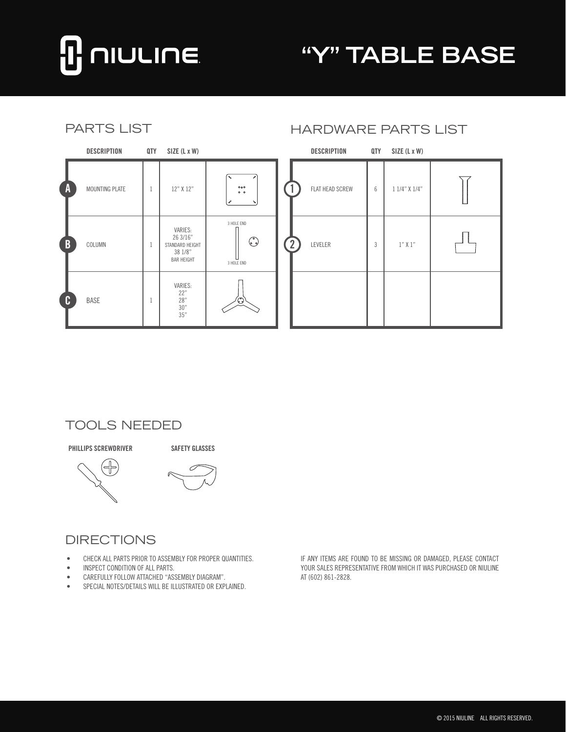# **NIULINE**

## **"Y" TABLE BASE**

| <b>PARTS LIST</b> |                       |     |                                                                        |                                     | <b>HARDWARE PARTS LIST</b> |  |                    |                |               |  |
|-------------------|-----------------------|-----|------------------------------------------------------------------------|-------------------------------------|----------------------------|--|--------------------|----------------|---------------|--|
|                   | <b>DESCRIPTION</b>    | QTY | SIZE (L x W)                                                           |                                     |                            |  | <b>DESCRIPTION</b> | QTY            | SIZE (L x W)  |  |
| A                 | <b>MOUNTING PLATE</b> | 1   | 12" X 12"                                                              | 0 <sub>0</sub><br>0 <sub>0</sub>    |                            |  | FLAT HEAD SCREW    | 6              | 1 1/4" X 1/4" |  |
| B                 | COLUMN                | 1   | VARIES:<br>26 3/16"<br>STANDARD HEIGHT<br>38 1/8"<br><b>BAR HEIGHT</b> | 3 HOLE END<br>$\odot$<br>3 HOLE END |                            |  | LEVELER            | $\overline{3}$ | $1"$ X $1"$   |  |
| C                 | <b>BASE</b>           | -1. | VARIES:<br>22"<br>28"<br>30"<br>35"                                    | ٧                                   |                            |  |                    |                |               |  |

#### TOOLS NEEDED

**PHILLIPS SCREWDRIVER SAFETY GLASSES**



#### DIRECTIONS

- • CHECK ALL PARTS PRIOR TO ASSEMBLY FOR PROPER QUANTITIES.
- • INSPECT CONDITION OF ALL PARTS.
- • CAREFULLY FOLLOW ATTACHED "ASSEMBLY DIAGRAM".
- • SPECIAL NOTES/DETAILS WILL BE ILLUSTRATED OR EXPLAINED.

IF ANY ITEMS ARE FOUND TO BE MISSING OR DAMAGED, PLEASE CONTACT YOUR SALES REPRESENTATIVE FROM WHICH IT WAS PURCHASED OR NIULINE AT (602) 861-2828.